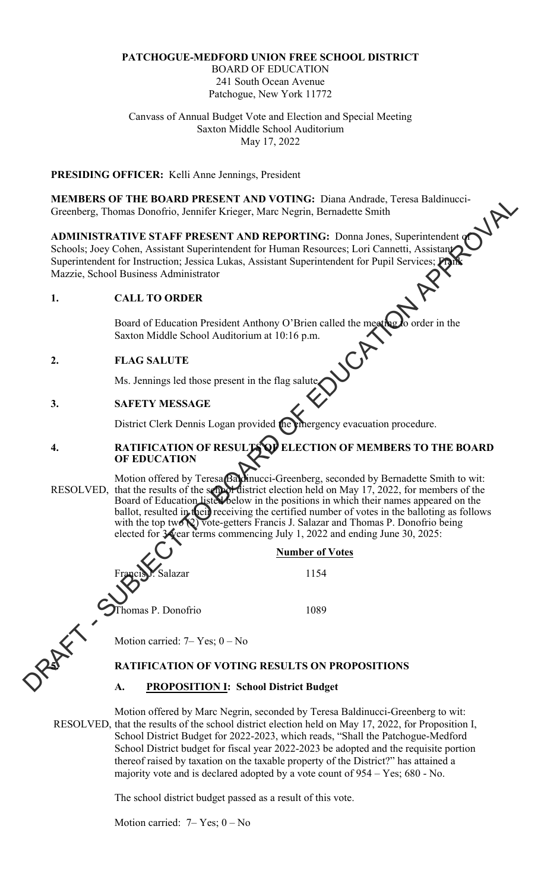## **PATCHOGUE-MEDFORD UNION FREE SCHOOL DISTRICT**

BOARD OF EDUCATION 241 South Ocean Avenue Patchogue, New York 11772

Canvass of Annual Budget Vote and Election and Special Meeting Saxton Middle School Auditorium May 17, 2022

## **PRESIDING OFFICER:** Kelli Anne Jennings, President

**MEMBERS OF THE BOARD PRESENT AND VOTING:** Diana Andrade, Teresa Baldinucci-Greenberg, Thomas Donofrio, Jennifer Krieger, Marc Negrin, Bernadette Smith

**ADMINISTRATIVE STAFF PRESENT AND REPORTING:** Donna Jones, Superintendent of Schools; Joey Cohen, Assistant Superintendent for Human Resources; Lori Cannetti, Assistant Superintendent for Instruction; Jessica Lukas, Assistant Superintendent for Pupil Services; Frank Mazzie, School Business Administrator

#### **1. CALL TO ORDER**

Board of Education President Anthony O'Brien called the meeting to order in the Saxton Middle School Auditorium at 10:16 p.m.

#### **2. FLAG SALUTE**

j

**Ms. Jennings led those present in the flag salute.** 

#### **3. SAFETY MESSAGE**

District Clerk Dennis Logan provided the emergency evacuation procedure.

#### **4. RATIFICATION OF RESULTS OF ELECTION OF MEMBERS TO THE BOARD OF EDUCATION**

Motion offered by Teresa Baldinucci-Greenberg, seconded by Bernadette Smith to wit: RESOLVED, that the results of the school district election held on May 17, 2022, for members of the Board of Education lister below in the positions in which their names appeared on the ballot, resulted in their receiving the certified number of votes in the balloting as follows with the top two (2) vote-getters Francis J. Salazar and Thomas P. Donofrio being elected for 3 year terms commencing July 1, 2022 and ending June 30, 2025: MEMBERS OF THE ROAD PRESSENT AND VOITING: Domain Andrad, Toreal Radimized:<br>
Torentography and Densities, American Membershers, Conclusion and Antarcton<br>
School, Domain Supermemental of the membershers and the second to be

 **Number of Votes**  Francis J. Salazar 1154 Thomas P. Donofrio 1089

Motion carried:  $7 - Yes$ ;  $0 - No$ 

#### **5. RATIFICATION OF VOTING RESULTS ON PROPOSITIONS**

#### **A. PROPOSITION I: School District Budget**

Motion offered by Marc Negrin, seconded by Teresa Baldinucci-Greenberg to wit: RESOLVED, that the results of the school district election held on May 17, 2022, for Proposition I, School District Budget for 2022-2023, which reads, "Shall the Patchogue-Medford School District budget for fiscal year 2022-2023 be adopted and the requisite portion thereof raised by taxation on the taxable property of the District?" has attained a majority vote and is declared adopted by a vote count of 954 – Yes; 680 - No.

The school district budget passed as a result of this vote.

Motion carried:  $7 - Yes$ ;  $0 - No$